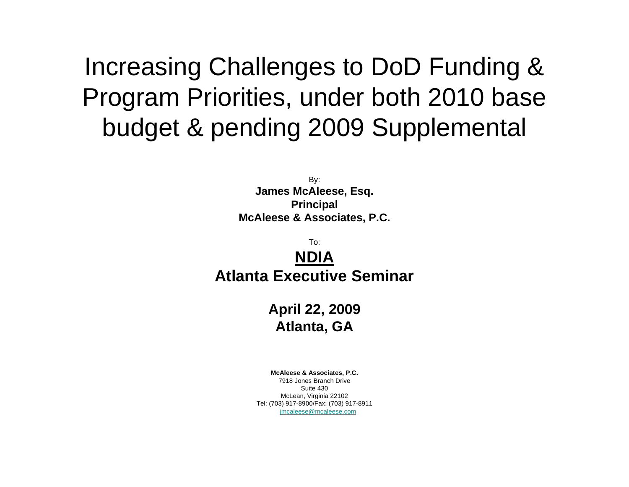# Increasing Challenges to DoD Funding & Program Priorities, under both 2010 base budget & pending 2009 Supplemental

By: **James McAleese, Esq. Principal McAleese & Associates, P.C.**

To:**NDIAAtlanta Executive Seminar**

> **April 22, 2009 Atlanta, GA**

**McAleese & Associates, P.C.** 7918 Jones Branch DriveSuite 430McLean, Virginia 22102 Tel: (703) 917-8900/Fax: (703) 917-8911 [jmcaleese@mcaleese.com](mailto:jmcaleese@mcaleese.com)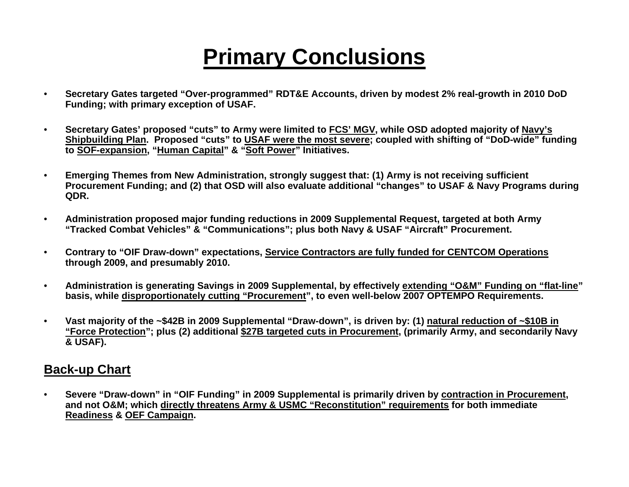# **Primary Conclusions**

- **Secretary Gates targeted "Over-programmed" RDT&E Accounts, driven by modest 2% real-growth in 2010 DoD Funding; with primary exception of USAF.**
- **Secretary Gates' proposed "cuts" to Army were limited to FCS' MGV, while OSD adopted majority of Navy's Shipbuilding Plan. Proposed "cuts" to USAF were the most severe; coupled with shifting of "DoD-wide" funding to SOF-expansion, "Human Capital" & "Soft Power" Initiatives.**
- **Emerging Themes from New Administration, strongly suggest that: (1) Army is not receiving sufficient Procurement Funding; and (2) that OSD will also evaluate additional "changes" to USAF & Navy Programs during QDR.**
- **Administration proposed major funding reductions in 2009 Supplemental Request, targeted at both Army "Tracked Combat Vehicles" & "Communications"; plus both Navy & USAF "Aircraft" Procurement.**
- **Contrary to "OIF Draw-down" expectations, Service Contractors are fully funded for CENTCOM Operations through 2009, and presumably 2010.**
- **Administration is generating Savings in 2009 Supplemental, by effectively extending "O&M" Funding on "flat-line" basis, while disproportionately cutting "Procurement", to even well-below 2007 OPTEMPO Requirements.**
- **Vast majority of the ~\$42B in 2009 Supplemental "Draw-down", is driven by: (1) natural reduction of ~\$10B in "Force Protection"; plus (2) additional \$27B targeted cuts in Procurement, (primarily Army, and secondarily Navy & USAF).**

#### **Back-up Chart**

• **Severe "Draw-down" in "OIF Funding" in 2009 Supplemental is primarily driven by contraction in Procurement, and not O&M; which directly threatens Army & USMC "Reconstitution" requirements for both immediate Readiness & OEF Campaign.**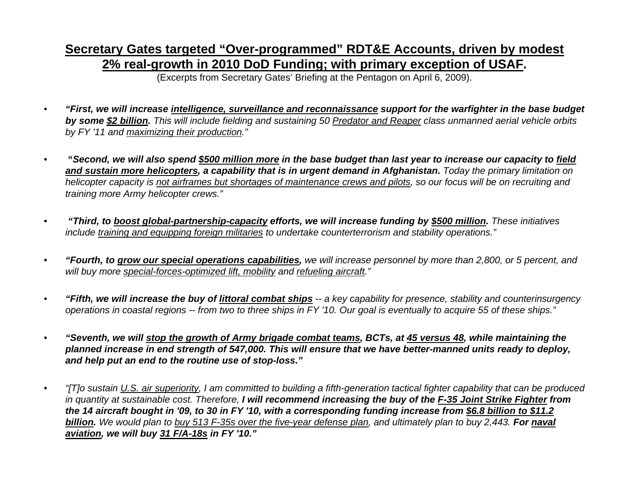### **Secretary Gates targeted "Over-programmed" RDT&E Accounts, driven by modest 2% real-growth in 2010 DoD Funding; with primary exception of USAF.**

(Excerpts from Secretary Gates' Briefing at the Pentagon on April 6, 2009).

- *"First, we will increase intelligence, surveillance and reconnaissance support for the warfighter in the base budget by some \$2 billion. This will include fielding and sustaining 50 Predator and Reaper class unmanned aerial vehicle orbits by FY '11 and maximizing their production."*
- **"***Second, we will also spend \$500 million more in the base budget than last year to increase our capacity to field and sustain more helicopters, a capability that is in urgent demand in Afghanistan. Today the primary limitation on helicopter capacity is not airframes but shortages of maintenance crews and pilots, so our focus will be on recruiting and training more Army helicopter crews."*
- *"Third, to boost global-partnership-capacity efforts, we will increase funding by \$500 million. These initiatives include training and equipping foreign militaries to undertake counterterrorism and stability operations."*
- *"Fourth, to grow our special operations capabilities, we will increase personnel by more than 2,800, or 5 percent, and will buy more special-forces-optimized lift, mobility and refueling aircraft."*
- *"Fifth, we will increase the buy of littoral combat ships -- a key capability for presence, stability and counterinsurgency operations in coastal regions -- from two to three ships in FY '10. Our goal is eventually to acquire 55 of these ships."*
- *"Seventh, we will stop the growth of Army brigade combat teams, BCTs, at 45 versus 48, while maintaining the planned increase in end strength of 547,000. This will ensure that we have better-manned units ready to deploy, and help put an end to the routine use of stop-loss."*
- *"[T]o sustain U.S. air superiority, I am committed to building a fifth-generation tactical fighter capability that can be produced in quantity at sustainable cost. Therefore, I will recommend increasing the buy of the F-35 Joint Strike Fighter from the 14 aircraft bought in '09, to 30 in FY '10, with a corresponding funding increase from \$6.8 billion to \$11.2 billion. We would plan to buy 513 F-35s over the five-year defense plan, and ultimately plan to buy 2,443. For naval aviation, we will buy 31 F/A-18s in FY '10."*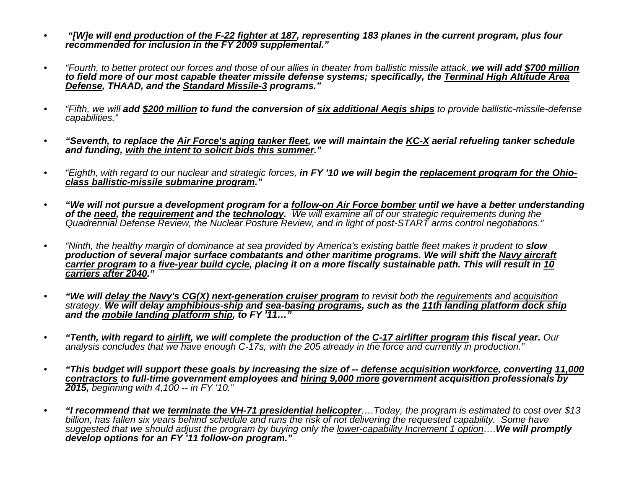- *"[W]e will end production of the F-22 fighter at 187, representing 183 planes in the current program, plus four recommended for inclusion in the FY 2009 supplemental."*
- *"Fourth, to better protect our forces and those of our allies in theater from ballistic missile attack, we will add \$700 million to field more of our most capable theater missile defense systems; specifically, the Terminal High Altitude Area Defense, THAAD, and the Standard Missile-3 programs."*
- *"Fifth, we will add \$200 million to fund the conversion of six additional Aegis ships to provide ballistic-missile-defense capabilities."*
- *"Seventh, to replace the Air Force's aging tanker fleet, we will maintain the KC-X aerial refueling tanker schedule and funding, with the intent to solicit bids this summer."*
- *"Eighth, with regard to our nuclear and strategic forces, in FY '10 we will begin the replacement program for the Ohioclass ballistic-missile submarine program."*
- *"We will not pursue a development program for a follow-on Air Force bomber until we have a better understanding*  Quadrennial Defense Review, the Nuclear Posture Review, and in light of post-START arms control negotiations."
- *"Ninth, the healthy margin of dominance at sea provided by America's existing battle fleet makes it prudent to slow production of several major surface combatants and other maritime programs. We will shift the Navy aircraft carrier program to a five-year build cycle, placing it on a more fiscally sustainable path. This will result in 10 carriers after 2040."*
- *"We will delay the Navy's CG(X) next-generation cruiser program to revisit both the requirements and acquisition strategy. We will delay amphibious-ship and sea-basing programs, such as the 11th landing platform dock ship and the mobile landing platform ship, to FY '11…"*
- *"Tenth, with regard to airlift, we will complete the production of the C-17 airlifter program this fiscal year. Our analysis concludes that we have enough C-17s, with the 205 already in the force and currently in production."*
- *"This budget will support these goals by increasing the size of -- defense acquisition workforce, converting 11,000 contractors to full-time government employees and hiring 9,000 more government acquisition professionals by 2015, beginning with 4,100 -- in FY '10."*
- *"I recommend that we terminate the VH-71 presidential helicopter….Today, the program is estimated to cost over \$13 billion, has fallen six years behind schedule and runs the risk of not delivering the requested capability. Some have suggested that we should adjust the program by buying only the lower-capability Increment 1 option….We will promptly develop options for an FY '11 follow-on program."*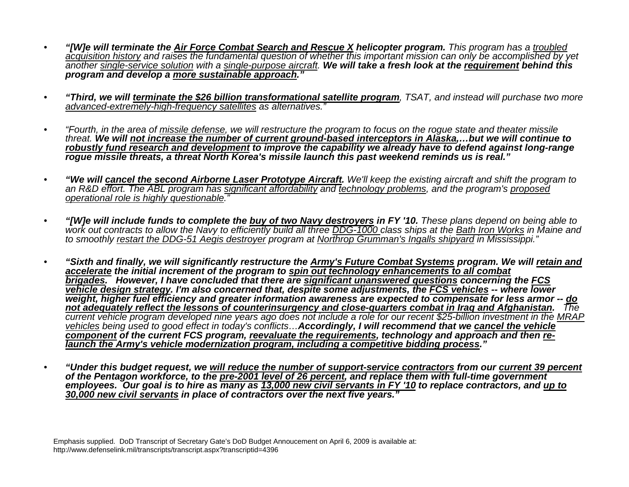- *"[W]e will terminate the Air Force Combat Search and Rescue X helicopter program. This program has a troubled acquisition history and raises the fundamental question of whether this important mission can only be accomplished by yet another single-service solution with a single-purpose aircraft. We will take a fresh look at the requirement behind this program and develop a more sustainable approach."*
- *"Third, we will terminate the \$26 billion transformational satellite program, TSAT, and instead will purchase two more advanced-extremely-high-frequency satellites as alternatives."*
- *"Fourth, in the area of missile defense, we will restructure the program to focus on the rogue state and theater missile threat. We will not increase the number of current ground-based interceptors in Alaska,…but we will continue to robustly fund research and development to improve the capability we already have to defend against long-range rogue missile threats, a threat North Korea's missile launch this past weekend reminds us is real."*
- *"We will cancel the second Airborne Laser Prototype Aircraft. We'll keep the existing aircraft and shift the program to an R&D effort. The ABL program has significant affordability and technology problems, and the program's proposed operational role is highly questionable."*
- *"[W]e will include funds to complete the buy of two Navy destroyers in FY '10. These plans depend on being able to work out contracts to allow the Navy to efficiently build all three DDG-1000 class ships at the Bath Iron Works in Maine and to smoothly restart the DDG-51 Aegis destroyer program at Northrop Grumman's Ingalls shipyard in Mississippi."*
- *"Sixth and finally, we will significantly restructure the Army's Future Combat Systems program. We will retain and accelerate the initial increment of the program to spin out technology enhancements to all combat brigades. However, I have concluded that there are significant unanswered questions concerning the FCS vehicle design strategy. I'm also concerned that, despite some adjustments, the FCS vehicles -- where lower weight, higher fuel efficiency and greater information awareness are expected to compensate for less armor -- do not adequately reflect the lessons of counterinsurgency and close-quarters combat in Iraq and Afghanistan. The current vehicle program developed nine years ago does not include a role for our recent \$25-billion investment in the MRAP vehicles being used to good effect in today's conflicts…Accordingly, I will recommend that we cancel the vehicle component of the current FCS program, reevaluate the requirements, technology and approach and then relaunch the Army's vehicle modernization program, including a competitive bidding process."*
- *"Under this budget request, we will reduce the number of support-service contractors from our current 39 percent of the Pentagon workforce, to the pre-2001 level of 26 percent, and replace them with full-time government employees. Our goal is to hire as many as 13,000 new civil servants in FY '10 to replace contractors, and up to 30,000 new civil servants in place of contractors over the next five years."*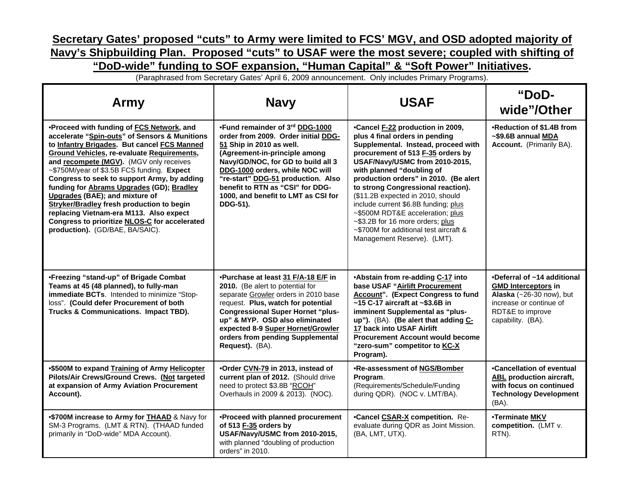#### **Secretary Gates' proposed "cuts" to Army were limited to FCS' MGV, and OSD adopted majority of Navy's Shipbuilding Plan. Proposed "cuts" to USAF were the most severe; coupled with shifting of "DoD-wide" funding to SOF expansion, "Human Capital" & "Soft Power" Initiatives.**

(Paraphrased from Secretary Gates' April 6, 2009 announcement. Only includes Primary Programs).

| Army                                                                                                                                                                                                                                                                                                                                                                                                                                                                                                                                                                                                     | <b>Navy</b>                                                                                                                                                                                                                                                                                                                               | <b>USAF</b>                                                                                                                                                                                                                                                                                                                                                                                                                                                                                                                | "DoD-<br>wide"/Other                                                                                                                                      |
|----------------------------------------------------------------------------------------------------------------------------------------------------------------------------------------------------------------------------------------------------------------------------------------------------------------------------------------------------------------------------------------------------------------------------------------------------------------------------------------------------------------------------------------------------------------------------------------------------------|-------------------------------------------------------------------------------------------------------------------------------------------------------------------------------------------------------------------------------------------------------------------------------------------------------------------------------------------|----------------------------------------------------------------------------------------------------------------------------------------------------------------------------------------------------------------------------------------------------------------------------------------------------------------------------------------------------------------------------------------------------------------------------------------------------------------------------------------------------------------------------|-----------------------------------------------------------------------------------------------------------------------------------------------------------|
| .Proceed with funding of FCS Network, and<br>accelerate "Spin-outs" of Sensors & Munitions<br>to Infantry Brigades. But cancel FCS Manned<br><b>Ground Vehicles, re-evaluate Requirements,</b><br>and recompete (MGV). (MGV only receives<br>~\$750M/year of \$3.5B FCS funding. Expect<br>Congress to seek to support Army, by adding<br>funding for Abrams Upgrades (GD); Bradley<br>Upgrades (BAE); and mixture of<br><b>Stryker/Bradley fresh production to begin</b><br>replacing Vietnam-era M113. Also expect<br>Congress to prioritize NLOS-C for accelerated<br>production). (GD/BAE, BA/SAIC). | •Fund remainder of 3rd DDG-1000<br>order from 2009. Order initial DDG-<br>51 Ship in 2010 as well.<br>(Agreement-in-principle among<br>Navy/GD/NOC, for GD to build all 3<br>DDG-1000 orders, while NOC will<br>"re-start" DDG-51 production. Also<br>benefit to RTN as "CSI" for DDG-<br>1000, and benefit to LMT as CSI for<br>DDG-51). | •Cancel F-22 production in 2009,<br>plus 4 final orders in pending<br>Supplemental. Instead, proceed with<br>procurement of 513 F-35 orders by<br>USAF/Navy/USMC from 2010-2015,<br>with planned "doubling of<br>production orders" in 2010. (Be alert<br>to strong Congressional reaction).<br>(\$11.2B expected in 2010, should<br>include current \$6.8B funding; plus<br>~\$500M RDT&E acceleration; plus<br>~\$3.2B for 16 more orders; plus<br>~\$700M for additional test aircraft &<br>Management Reserve). (LMT). | •Reduction of \$1.4B from<br>~\$9.6B annual MDA<br><b>Account.</b> (Primarily BA).                                                                        |
| •Freezing "stand-up" of Brigade Combat<br>Teams at 45 (48 planned), to fully-man<br>immediate BCTs. Intended to minimize "Stop-<br>loss". (Could defer Procurement of both<br>Trucks & Communications. Impact TBD).                                                                                                                                                                                                                                                                                                                                                                                      | .Purchase at least 31 F/A-18 E/F in<br>2010. (Be alert to potential for<br>separate Growler orders in 2010 base<br>request. Plus, watch for potential<br><b>Congressional Super Hornet "plus-</b><br>up" & MYP. OSD also eliminated<br>expected 8-9 Super Hornet/Growler<br>orders from pending Supplemental<br>Request). (BA).           | •Abstain from re-adding C-17 into<br>base USAF "Airlift Procurement<br><b>Account".</b> (Expect Congress to fund<br>$~15$ C-17 aircraft at $~53.6B$ in<br>imminent Supplemental as "plus-<br>up"). (BA). (Be alert that adding C-<br>17 back into USAF Airlift<br><b>Procurement Account would become</b><br>"zero-sum" competitor to KC-X<br>Program).                                                                                                                                                                    | •Deferral of ~14 additional<br><b>GMD Interceptors in</b><br>Alaska (~26-30 now), but<br>increase or continue of<br>RDT&E to improve<br>capability. (BA). |
| •\$500M to expand Training of Army Helicopter<br>Pilots/Air Crews/Ground Crews. (Not targeted<br>at expansion of Army Aviation Procurement<br>Account).                                                                                                                                                                                                                                                                                                                                                                                                                                                  | .Order CVN-79 in 2013, instead of<br>current plan of 2012. (Should drive<br>need to protect \$3.8B "RCOH"<br>Overhauls in 2009 & 2013). (NOC).                                                                                                                                                                                            | .Re-assessment of NGS/Bomber<br>Program.<br>(Requirements/Schedule/Funding<br>during QDR). (NOC v. LMT/BA).                                                                                                                                                                                                                                                                                                                                                                                                                | •Cancellation of eventual<br><b>ABL</b> production aircraft,<br>with focus on continued<br><b>Technology Development</b><br>(BA).                         |
| .\$700M increase to Army for THAAD & Navy for<br>SM-3 Programs. (LMT & RTN). (THAAD funded<br>primarily in "DoD-wide" MDA Account).                                                                                                                                                                                                                                                                                                                                                                                                                                                                      | •Proceed with planned procurement<br>of 513 F-35 orders by<br>USAF/Navy/USMC from 2010-2015,<br>with planned "doubling of production<br>orders" in 2010.                                                                                                                                                                                  | <b>.Cancel CSAR-X competition.</b> Re-<br>evaluate during QDR as Joint Mission.<br>(BA, LMT, UTX).                                                                                                                                                                                                                                                                                                                                                                                                                         | •Terminate MKV<br>competition. (LMT v.<br>RTN).                                                                                                           |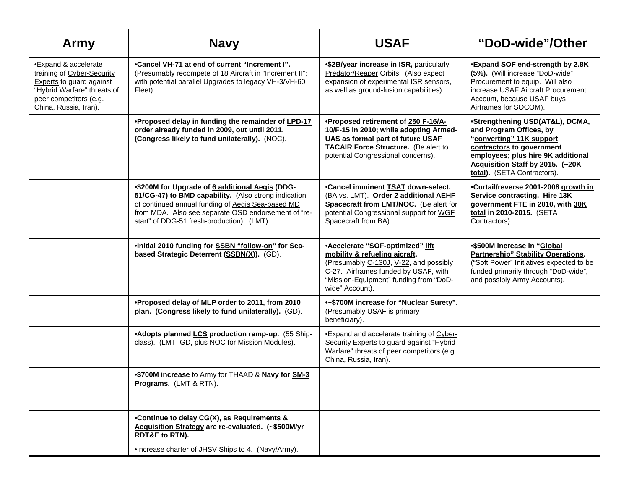| Army                                                                                                                                                                    | <b>Navy</b>                                                                                                                                                                                                                                                       | <b>USAF</b>                                                                                                                                                                                                      | "DoD-wide"/Other                                                                                                                                                                                                              |
|-------------------------------------------------------------------------------------------------------------------------------------------------------------------------|-------------------------------------------------------------------------------------------------------------------------------------------------------------------------------------------------------------------------------------------------------------------|------------------------------------------------------------------------------------------------------------------------------------------------------------------------------------------------------------------|-------------------------------------------------------------------------------------------------------------------------------------------------------------------------------------------------------------------------------|
| •Expand & accelerate<br>training of Cyber-Security<br><b>Experts</b> to guard against<br>"Hybrid Warfare" threats of<br>peer competitors (e.g.<br>China, Russia, Iran). | •Cancel VH-71 at end of current "Increment I".<br>(Presumably recompete of 18 Aircraft in "Increment II";<br>with potential parallel Upgrades to legacy VH-3/VH-60<br>Fleet).                                                                                     | •\$2B/year increase in <b>ISR</b> , particularly<br>Predator/Reaper Orbits. (Also expect<br>expansion of experimental ISR sensors,<br>as well as ground-fusion capabilities).                                    | •Expand SOF end-strength by 2.8K<br>(5%). (Will increase "DoD-wide"<br>Procurement to equip. Will also<br>increase USAF Aircraft Procurement<br>Account, because USAF buys<br>Airframes for SOCOM).                           |
|                                                                                                                                                                         | •Proposed delay in funding the remainder of LPD-17<br>order already funded in 2009, out until 2011.<br>(Congress likely to fund unilaterally). (NOC).                                                                                                             | •Proposed retirement of 250 F-16/A-<br>10/F-15 in 2010; while adopting Armed-<br>UAS as formal part of future USAF<br>TACAIR Force Structure. (Be alert to<br>potential Congressional concerns).                 | •Strengthening USD(AT&L), DCMA,<br>and Program Offices, by<br>"converting" 11K support<br>contractors to government<br>employees; plus hire 9K additional<br>Acquisition Staff by 2015. (~20K)<br>total). (SETA Contractors). |
|                                                                                                                                                                         | •\$200M for Upgrade of 6 additional Aegis (DDG-<br>51/CG-47) to BMD capability. (Also strong indication<br>of continued annual funding of Aegis Sea-based MD<br>from MDA. Also see separate OSD endorsement of "re-<br>start" of DDG-51 fresh-production). (LMT). | •Cancel imminent <b>TSAT</b> down-select.<br>(BA vs. LMT). Order 2 additional AEHF<br>Spacecraft from LMT/NOC. (Be alert for<br>potential Congressional support for WGF<br>Spacecraft from BA).                  | •Curtail/reverse 2001-2008 growth in<br>Service contracting. Hire 13K<br>government FTE in 2010, with 30K<br>total in 2010-2015. (SETA<br>Contractors).                                                                       |
|                                                                                                                                                                         | •Initial 2010 funding for SSBN "follow-on" for Sea-<br>based Strategic Deterrent (SSBN(X)). (GD).                                                                                                                                                                 | •Accelerate "SOF-optimized" lift<br>mobility & refueling aicraft.<br>(Presumably C-130J, V-22, and possibly<br>C-27. Airframes funded by USAF, with<br>"Mission-Equipment" funding from "DoD-<br>wide" Account). | •\$500M increase in "Global<br><b>Partnership" Stability Operations.</b><br>("Soft Power" Initiatives expected to be<br>funded primarily through "DoD-wide",<br>and possibly Army Accounts).                                  |
|                                                                                                                                                                         | .Proposed delay of MLP order to 2011, from 2010<br>plan. (Congress likely to fund unilaterally). (GD).                                                                                                                                                            | •~\$700M increase for "Nuclear Surety".<br>(Presumably USAF is primary<br>beneficiary).                                                                                                                          |                                                                                                                                                                                                                               |
|                                                                                                                                                                         | •Adopts planned LCS production ramp-up. (55 Ship-<br>class). (LMT, GD, plus NOC for Mission Modules).                                                                                                                                                             | .Expand and accelerate training of Cyber-<br>Security Experts to guard against "Hybrid<br>Warfare" threats of peer competitors (e.g.<br>China, Russia, Iran).                                                    |                                                                                                                                                                                                                               |
|                                                                                                                                                                         | .\$700M increase to Army for THAAD & Navy for SM-3<br>Programs. (LMT & RTN).                                                                                                                                                                                      |                                                                                                                                                                                                                  |                                                                                                                                                                                                                               |
|                                                                                                                                                                         | •Continue to delay CG(X), as Requirements &<br>Acquisition Strategy are re-evaluated. (~\$500M/yr<br><b>RDT&amp;E to RTN).</b>                                                                                                                                    |                                                                                                                                                                                                                  |                                                                                                                                                                                                                               |
|                                                                                                                                                                         | •Increase charter of JHSV Ships to 4. (Navy/Army).                                                                                                                                                                                                                |                                                                                                                                                                                                                  |                                                                                                                                                                                                                               |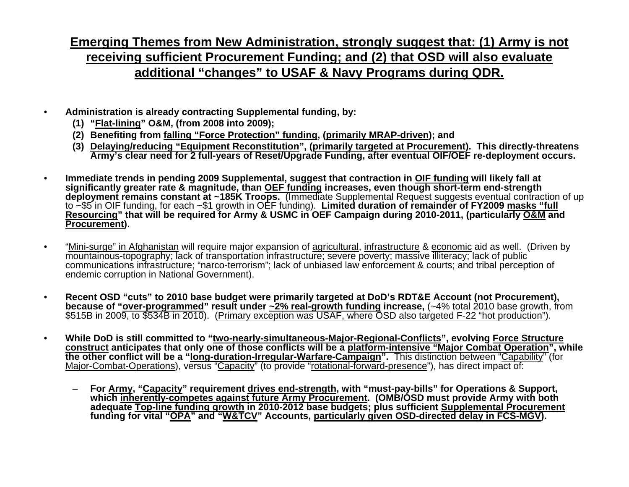#### **Emerging Themes from New Administration, strongly suggest that: (1) Army is not receiving sufficient Procurement Funding; and (2) that OSD will also evaluate additional "changes" to USAF & Navy Programs during QDR.**

- **Administration is already contracting Supplemental funding, by:** 
	- **(1) "Flat-lining" O&M, (from 2008 into 2009);**
	- **(2) Benefiting from falling "Force Protection" funding, (primarily MRAP-driven); and**
	- **(3) Delaying/reducing "Equipment Reconstitution", (primarily targeted at Procurement). This directly-threatens Army's clear need for 2 full-years of Reset/Upgrade Funding, after eventual OIF/OEF re-deployment occurs.**
- **Immediate trends in pending 2009 Supplemental, suggest that contraction in OIF funding will likely fall at**  significantly greater rate & magnitude, than OEF funding increases, even though short-term end-strength<br>deployment remains constant at ~185K Troops. (Immediate Supplemental Request suggests eventual contraction of up to  $\sim$ \$5 in OIF funding, for each  $\sim$ \$1 growth in OEF funding). Limited duration of remainder of FY2009 masks "full **Resourcing" that will be required for Army & USMC in OEF Campaign during 2010-2011, (particularly O&M and Procurement).**
- "Mini-surge" in Afghanistan will require major expansion of agricultural, infrastructure & economic aid as well. (Driven by mountainous-topography; lack of transportation infrastructure; severe poverty; massive illiteracy; lack of public communications infrastructure; "narco-terrorism"; lack of unbiased law enforcement & courts; and tribal perception of endemic corruption in National Government).
- **Recent OSD "cuts" to 2010 base budget were primarily targeted at DoD's RDT&E Account (not Procurement),**  \$515B in 2009, to \$534B in 2010). (Primary exception was USAF, where OSD also targeted F-22 "hot production").
- **While DoD is still committed to "two-nearly-simultaneous-Major-Regional-Conflicts", evolving Force Structure construct anticipates that only one of those conflicts will be a platform-intensive "Major Combat Operation", while the other conflict will be a "long-duration-Irregular-Warfare-Campaign".** This distinction between "Capability" (for Major-Combat-Operations), versus "Capacity" (to provide "rotational-forward-presence"), has direct impact of:
	- **For Army, "Capacity" requirement drives end-strength, with "must-pay-bills" for Operations & Support,**  which inherently-competes against future Army Procurement. (OMB/OSD must provide Army with both adequate Top-line funding growth in 2010-2012 base budgets; plus sufficient Supplemental Procurement **funding for vital "OPA" and "W&TCV" Accounts, particularly given OSD-directed delay in FCS-MGV).**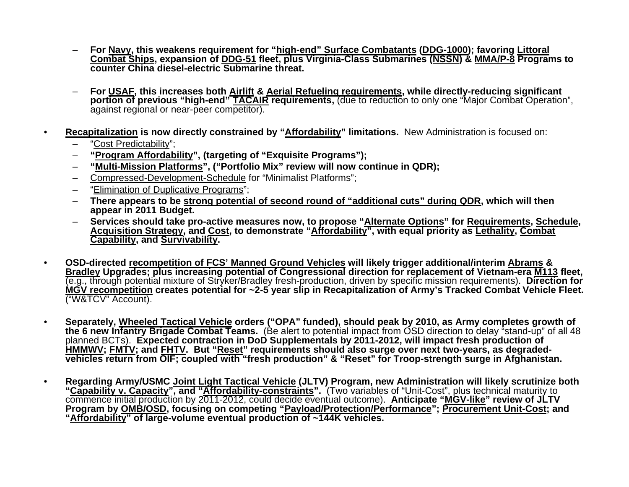- **For Navy, this weakens requirement for "high-end" Surface Combatants (DDG-1000); favoring Littoral Combat Ships, expansion of DDG-51 fleet, plus Virginia-Class Submarines (NSSN) & MMA/P-8 Programs to counter China diesel-electric Submarine threat.**
- **For USAF, this increases both Airlift & Aerial Refueling requirements, while directly-reducing significant portion of previous "high-end" TACAIR requirements,** (due to reduction to only one "Major Combat Operation", against regional or near-peer competitor).
- **Recapitalization is now directly constrained by "Affordability" limitations.** New Administration is focused on:
	- "Cost Predictability";
	- **"Program Affordability", (targeting of "Exquisite Programs");**
	- **"Multi-Mission Platforms", ("Portfolio Mix" review will now continue in QDR);**
	- Compressed-Development-Schedule for "Minimalist Platforms";
	- "Elimination of Duplicative Programs";
	- **There appears to be strong potential of second round of "additional cuts" during QDR, which will then appear in 2011 Budget.**
	- **Services should take pro-active measures now, to propose "Alternate Options" for Requirements, Schedule, Acquisition Strategy, and Cost, to demonstrate "Affordability", with equal priority as Lethality, Combat Capability, and Survivability.**
- **OSD-directed recompetition of FCS' Manned Ground Vehicles will likely trigger additional/interim Abrams & Bradley Upgrades; plus increasing potential of Congressional direction for replacement of Vietnam-era M113 fleet,**  (e.g., through potential mixture of Stryker/Bradley fresh-production, driven by specific mission requirements). **Direction for MGV recompetition creates potential for ~2-5 year slip in Recapitalization of Army's Tracked Combat Vehicle Fleet.**  ("W&TCV" Account).
- **Separately, Wheeled Tactical Vehicle orders ("OPA" funded), should peak by 2010, as Army completes growth of**  the 6 new Infantry Brigade Combat Teams. (Be alert to potential impact from OSD direction to delay "stand-up" of all 48 planned BCTs). **Expected contraction in DoD Supplementals by 2011-2012, will impact fresh production of HMMWV; FMTV; and FHTV. But "Reset" requirements should also surge over next two-years, as degradedvehicles return from OIF; coupled with "fresh production" & "Reset" for Troop-strength surge in Afghanistan.**
- **Regarding Army/USMC Joint Light Tactical Vehicle (JLTV) Program, new Administration will likely scrutinize both "Capability v. Capacity", and "Affordability-constraints".** (Two variables of "Unit-Cost", plus technical maturity to commence initial production by 2011-2012, could decide eventual outcome). **Anticipate "MGV-like" review of JLTV Program by OMB/OSD, focusing on competing "Payload/Protection/Performance"; Procurement Unit-Cost; and "Affordability" of large-volume eventual production of ~144K vehicles.**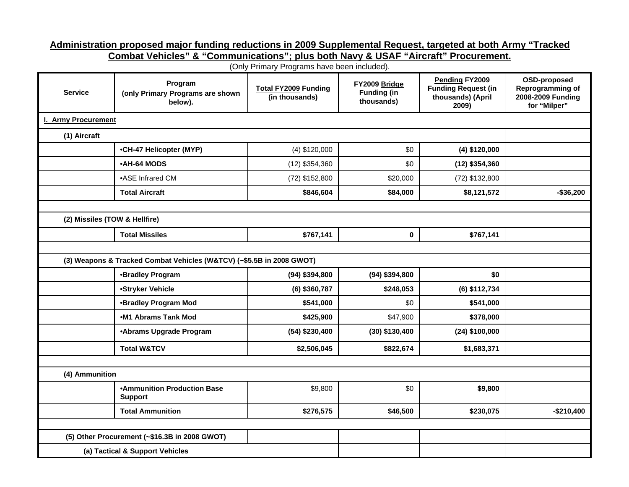#### **Administration proposed major funding reductions in 2009 Supplemental Request, targeted at both Army "Tracked**

**Combat Vehicles" & "Communications"; plus both Navy & USAF "Aircraft" Procurement.** 

(Only Primary Programs have been included).

| <b>Service</b>                | Program<br>(only Primary Programs are shown<br>below).               | <b>Total FY2009 Funding</b><br>(in thousands) | FY2009 Bridge<br><b>Funding (in</b><br>thousands) | <b>Pending FY2009</b><br><b>Funding Request (in</b><br>thousands) (April<br>2009) | OSD-proposed<br>Reprogramming of<br>2008-2009 Funding<br>for "Milper" |  |  |  |
|-------------------------------|----------------------------------------------------------------------|-----------------------------------------------|---------------------------------------------------|-----------------------------------------------------------------------------------|-----------------------------------------------------------------------|--|--|--|
| I. Army Procurement           |                                                                      |                                               |                                                   |                                                                                   |                                                                       |  |  |  |
| (1) Aircraft                  |                                                                      |                                               |                                                   |                                                                                   |                                                                       |  |  |  |
|                               | •CH-47 Helicopter (MYP)                                              | $(4)$ \$120,000                               | \$0                                               | $(4)$ \$120,000                                                                   |                                                                       |  |  |  |
|                               | •AH-64 MODS                                                          | $(12)$ \$354,360                              | \$0                                               | $(12)$ \$354,360                                                                  |                                                                       |  |  |  |
|                               | •ASE Infrared CM                                                     | (72) \$152,800                                | \$20,000                                          | (72) \$132,800                                                                    |                                                                       |  |  |  |
|                               | <b>Total Aircraft</b>                                                | \$846,604                                     | \$84,000                                          | \$8,121,572                                                                       | $-$ \$36,200                                                          |  |  |  |
|                               |                                                                      |                                               |                                                   |                                                                                   |                                                                       |  |  |  |
| (2) Missiles (TOW & Hellfire) |                                                                      |                                               |                                                   |                                                                                   |                                                                       |  |  |  |
|                               | <b>Total Missiles</b>                                                | \$767,141                                     | 0                                                 | \$767,141                                                                         |                                                                       |  |  |  |
|                               |                                                                      |                                               |                                                   |                                                                                   |                                                                       |  |  |  |
|                               | (3) Weapons & Tracked Combat Vehicles (W&TCV) (~\$5.5B in 2008 GWOT) |                                               |                                                   |                                                                                   |                                                                       |  |  |  |
|                               | •Bradley Program                                                     | $(94)$ \$394,800                              | $(94)$ \$394,800                                  | \$0                                                                               |                                                                       |  |  |  |
|                               | •Stryker Vehicle                                                     | $(6)$ \$360,787                               | \$248,053                                         | (6) \$112,734                                                                     |                                                                       |  |  |  |
|                               | <b>•Bradley Program Mod</b>                                          | \$541,000                                     | \$0                                               | \$541,000                                                                         |                                                                       |  |  |  |
|                               | .M1 Abrams Tank Mod                                                  | \$425,900                                     | \$47,900                                          | \$378,000                                                                         |                                                                       |  |  |  |
|                               | •Abrams Upgrade Program                                              | $(54)$ \$230,400                              | $(30)$ \$130,400                                  | $(24)$ \$100,000                                                                  |                                                                       |  |  |  |
|                               | <b>Total W&amp;TCV</b>                                               | \$2,506,045                                   | \$822,674                                         | \$1,683,371                                                                       |                                                                       |  |  |  |
|                               |                                                                      |                                               |                                                   |                                                                                   |                                                                       |  |  |  |
| (4) Ammunition                |                                                                      |                                               |                                                   |                                                                                   |                                                                       |  |  |  |
|                               | <b>•Ammunition Production Base</b><br><b>Support</b>                 | \$9,800                                       | \$0                                               | \$9,800                                                                           |                                                                       |  |  |  |
|                               | <b>Total Ammunition</b>                                              | \$276,575                                     | \$46,500                                          | \$230,075                                                                         | $-$210,400$                                                           |  |  |  |
|                               |                                                                      |                                               |                                                   |                                                                                   |                                                                       |  |  |  |
|                               | (5) Other Procurement (~\$16.3B in 2008 GWOT)                        |                                               |                                                   |                                                                                   |                                                                       |  |  |  |
|                               | (a) Tactical & Support Vehicles                                      |                                               |                                                   |                                                                                   |                                                                       |  |  |  |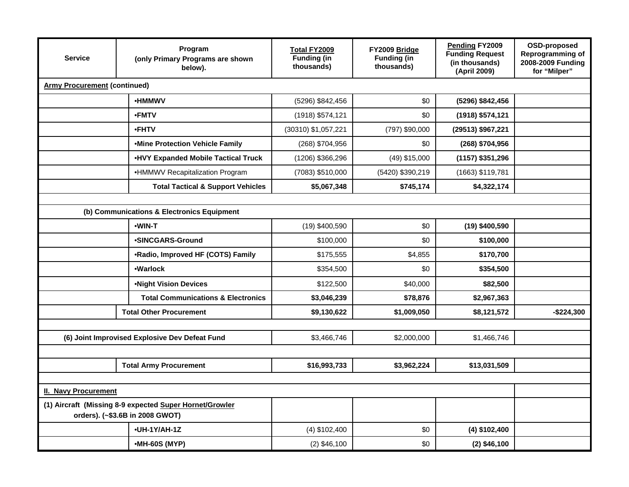| <b>Service</b>                      | Program<br><b>Total FY2009</b><br><b>Funding (in</b><br>(only Primary Programs are shown<br>thousands)<br>below). |                     | FY2009 Bridge<br><b>Funding (in</b><br>thousands) | Pending FY2009<br><b>Funding Request</b><br>(in thousands)<br>(April 2009) | OSD-proposed<br>Reprogramming of<br>2008-2009 Funding<br>for "Milper" |
|-------------------------------------|-------------------------------------------------------------------------------------------------------------------|---------------------|---------------------------------------------------|----------------------------------------------------------------------------|-----------------------------------------------------------------------|
| <b>Army Procurement (continued)</b> |                                                                                                                   |                     |                                                   |                                                                            |                                                                       |
|                                     | <b>•HMMWV</b>                                                                                                     | (5296) \$842,456    | \$0                                               | (5296) \$842,456                                                           |                                                                       |
|                                     | •FMTV                                                                                                             | (1918) \$574,121    | \$0                                               | (1918) \$574,121                                                           |                                                                       |
|                                     | •FHTV                                                                                                             | (30310) \$1,057,221 | (797) \$90,000                                    | (29513) \$967,221                                                          |                                                                       |
|                                     | .Mine Protection Vehicle Family                                                                                   | (268) \$704,956     | \$0                                               | (268) \$704,956                                                            |                                                                       |
|                                     | <b>.HVY Expanded Mobile Tactical Truck</b>                                                                        | (1206) \$366,296    | (49) \$15,000                                     | $(1157)$ \$351,296                                                         |                                                                       |
|                                     | •HMMWV Recapitalization Program                                                                                   | (7083) \$510,000    | (5420) \$390,219                                  | (1663) \$119,781                                                           |                                                                       |
|                                     | <b>Total Tactical &amp; Support Vehicles</b>                                                                      | \$5,067,348         | \$745,174                                         | \$4,322,174                                                                |                                                                       |
|                                     |                                                                                                                   |                     |                                                   |                                                                            |                                                                       |
|                                     | (b) Communications & Electronics Equipment                                                                        |                     |                                                   |                                                                            |                                                                       |
|                                     | •WIN-T                                                                                                            | (19) \$400,590      | \$0                                               | $(19)$ \$400,590                                                           |                                                                       |
|                                     | •SINCGARS-Ground                                                                                                  | \$100,000           | \$0                                               | \$100,000                                                                  |                                                                       |
|                                     | •Radio, Improved HF (COTS) Family                                                                                 | \$175,555           | \$4,855                                           | \$170,700                                                                  |                                                                       |
| •Warlock                            |                                                                                                                   | \$354,500           | \$0                                               | \$354,500                                                                  |                                                                       |
|                                     | <b>.Night Vision Devices</b>                                                                                      | \$122,500           | \$40,000                                          | \$82,500                                                                   |                                                                       |
|                                     | <b>Total Communications &amp; Electronics</b>                                                                     | \$3,046,239         | \$78,876                                          | \$2,967,363                                                                |                                                                       |
|                                     | <b>Total Other Procurement</b>                                                                                    | \$9,130,622         | \$1,009,050                                       | \$8,121,572                                                                | $-$224,300$                                                           |
|                                     |                                                                                                                   |                     |                                                   |                                                                            |                                                                       |
|                                     | (6) Joint Improvised Explosive Dev Defeat Fund                                                                    | \$3,466,746         | \$2,000,000                                       | \$1,466,746                                                                |                                                                       |
|                                     |                                                                                                                   |                     |                                                   |                                                                            |                                                                       |
|                                     | <b>Total Army Procurement</b>                                                                                     | \$16,993,733        | \$3,962,224                                       | \$13,031,509                                                               |                                                                       |
|                                     |                                                                                                                   |                     |                                                   |                                                                            |                                                                       |
| <b>II. Navy Procurement</b>         |                                                                                                                   |                     |                                                   |                                                                            |                                                                       |
|                                     | (1) Aircraft (Missing 8-9 expected Super Hornet/Growler<br>orders). (~\$3.6B in 2008 GWOT)                        |                     |                                                   |                                                                            |                                                                       |
|                                     | •UH-1Y/AH-1Z                                                                                                      | $(4)$ \$102,400     | \$0                                               | $(4)$ \$102,400                                                            |                                                                       |
|                                     | •MH-60S (MYP)                                                                                                     | $(2)$ \$46,100      | \$0                                               | $(2)$ \$46,100                                                             |                                                                       |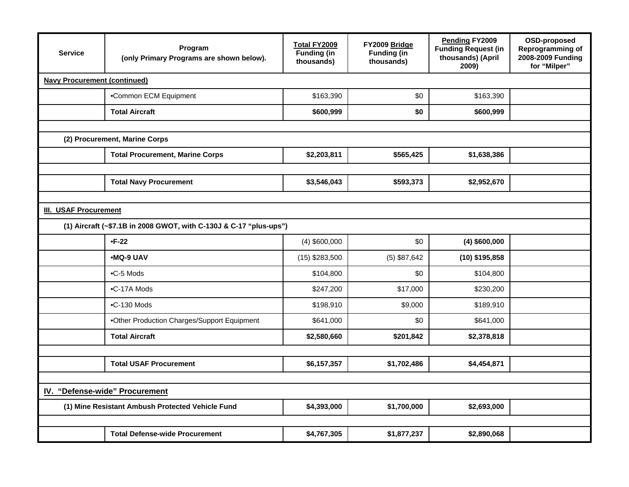| <b>Service</b>               | Program<br>(only Primary Programs are shown below).                        | Total FY2009<br><b>Funding (in</b><br>thousands) | FY2009 Bridge<br><b>Funding (in</b><br>thousands) | Pending FY2009<br><b>Funding Request (in</b><br>thousands) (April<br>2009) | OSD-proposed<br>Reprogramming of<br>2008-2009 Funding<br>for "Milper" |  |  |  |
|------------------------------|----------------------------------------------------------------------------|--------------------------------------------------|---------------------------------------------------|----------------------------------------------------------------------------|-----------------------------------------------------------------------|--|--|--|
|                              | <b>Navy Procurement (continued)</b>                                        |                                                  |                                                   |                                                                            |                                                                       |  |  |  |
|                              | •Common ECM Equipment                                                      | \$163,390                                        | \$0                                               | \$163,390                                                                  |                                                                       |  |  |  |
|                              | <b>Total Aircraft</b>                                                      | \$600,999                                        | \$0                                               | \$600,999                                                                  |                                                                       |  |  |  |
|                              |                                                                            |                                                  |                                                   |                                                                            |                                                                       |  |  |  |
|                              | (2) Procurement, Marine Corps                                              |                                                  |                                                   |                                                                            |                                                                       |  |  |  |
|                              | <b>Total Procurement, Marine Corps</b>                                     | \$2,203,811                                      | \$565,425                                         | \$1,638,386                                                                |                                                                       |  |  |  |
|                              |                                                                            |                                                  |                                                   |                                                                            |                                                                       |  |  |  |
|                              | <b>Total Navy Procurement</b>                                              | \$3,546,043                                      | \$593,373                                         | \$2,952,670                                                                |                                                                       |  |  |  |
| <b>III. USAF Procurement</b> |                                                                            |                                                  |                                                   |                                                                            |                                                                       |  |  |  |
|                              | (1) Aircraft (~\$7.1B in 2008 GWOT, with C-130J & C-17 "plus-ups")         |                                                  |                                                   |                                                                            |                                                                       |  |  |  |
|                              | $-F-22$                                                                    | $(4)$ \$600,000                                  | \$0                                               | $(4)$ \$600,000                                                            |                                                                       |  |  |  |
|                              | •MQ-9 UAV                                                                  | $(15)$ \$283,500                                 | $(5)$ \$87,642                                    | $(10)$ \$195,858                                                           |                                                                       |  |  |  |
|                              | .C-5 Mods                                                                  | \$104,800                                        | \$0                                               | \$104,800                                                                  |                                                                       |  |  |  |
|                              | $\bullet$ C-17A Mods                                                       | \$247,200                                        | \$17,000                                          | \$230,200                                                                  |                                                                       |  |  |  |
|                              | .C-130 Mods                                                                | \$198,910                                        | \$9,000                                           | \$189,910                                                                  |                                                                       |  |  |  |
|                              | .Other Production Charges/Support Equipment                                | \$641,000                                        | \$0                                               | \$641,000                                                                  |                                                                       |  |  |  |
|                              | <b>Total Aircraft</b>                                                      | \$2,580,660                                      | \$201,842                                         | \$2,378,818                                                                |                                                                       |  |  |  |
|                              |                                                                            |                                                  |                                                   |                                                                            |                                                                       |  |  |  |
|                              | <b>Total USAF Procurement</b><br>\$6,157,357<br>\$1,702,486<br>\$4,454,871 |                                                  |                                                   |                                                                            |                                                                       |  |  |  |
|                              |                                                                            |                                                  |                                                   |                                                                            |                                                                       |  |  |  |
|                              | IV. "Defense-wide" Procurement                                             |                                                  |                                                   |                                                                            |                                                                       |  |  |  |
|                              | (1) Mine Resistant Ambush Protected Vehicle Fund                           | \$4,393,000                                      | \$1,700,000                                       | \$2,693,000                                                                |                                                                       |  |  |  |
|                              |                                                                            |                                                  |                                                   |                                                                            |                                                                       |  |  |  |
|                              | <b>Total Defense-wide Procurement</b>                                      | \$4,767,305                                      | \$1,877,237                                       | \$2,890,068                                                                |                                                                       |  |  |  |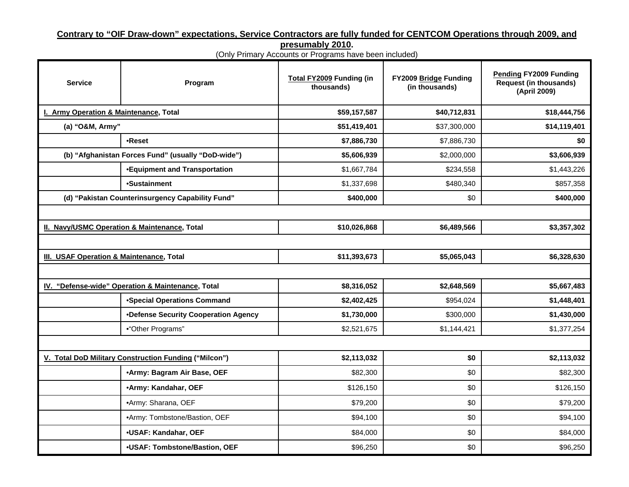### **Contrary to "OIF Draw-down" expectations, Service Contractors are fully funded for CENTCOM Operations through 2009, and**

**presumably 2010.** 

(Only Primary Accounts or Programs have been included)

| <b>Service</b>                           | Program                                               | Total FY2009 Funding (in<br>thousands) | FY2009 Bridge Funding<br>(in thousands) | <b>Pending FY2009 Funding</b><br><b>Request (in thousands)</b><br>(April 2009) |
|------------------------------------------|-------------------------------------------------------|----------------------------------------|-----------------------------------------|--------------------------------------------------------------------------------|
| I. Army Operation & Maintenance, Total   |                                                       | \$59,157,587                           | \$40,712,831                            | \$18,444,756                                                                   |
| (a) "O&M, Army"                          |                                                       | \$51,419,401                           | \$37,300,000                            | \$14,119,401                                                                   |
|                                          | •Reset                                                | \$7,886,730                            | \$7,886,730                             | \$0                                                                            |
|                                          | (b) "Afghanistan Forces Fund" (usually "DoD-wide")    | \$5,606,939                            | \$2,000,000                             | \$3,606,939                                                                    |
|                                          | <b>.Equipment and Transportation</b>                  | \$1,667,784                            | \$234,558                               | \$1,443,226                                                                    |
|                                          | •Sustainment                                          | \$1,337,698                            | \$480,340                               | \$857,358                                                                      |
|                                          | (d) "Pakistan Counterinsurgency Capability Fund"      | \$400,000                              | \$0                                     | \$400,000                                                                      |
|                                          |                                                       |                                        |                                         |                                                                                |
|                                          | II. Navy/USMC Operation & Maintenance, Total          | \$10,026,868                           | \$6,489,566                             | \$3,357,302                                                                    |
|                                          |                                                       |                                        |                                         |                                                                                |
| III. USAF Operation & Maintenance, Total |                                                       | \$11,393,673                           | \$5,065,043                             | \$6,328,630                                                                    |
|                                          |                                                       |                                        |                                         |                                                                                |
|                                          | IV. "Defense-wide" Operation & Maintenance, Total     | \$8,316,052                            | \$2,648,569                             | \$5,667,483                                                                    |
|                                          | <b>•Special Operations Command</b>                    | \$2,402,425                            | \$954,024                               | \$1,448,401                                                                    |
|                                          | •Defense Security Cooperation Agency                  | \$1,730,000                            | \$300,000                               | \$1,430,000                                                                    |
|                                          | •"Other Programs"                                     | \$2,521,675                            | \$1,144,421                             | \$1,377,254                                                                    |
|                                          |                                                       |                                        |                                         |                                                                                |
|                                          | V. Total DoD Military Construction Funding ("Milcon") | \$2,113,032                            | \$0                                     | \$2,113,032                                                                    |
|                                          | •Army: Bagram Air Base, OEF                           | \$82,300                               | \$0                                     | \$82,300                                                                       |
|                                          | •Army: Kandahar, OEF                                  | \$126,150                              | \$0                                     | \$126,150                                                                      |
|                                          | ·Army: Sharana, OEF                                   | \$79,200                               | \$0                                     | \$79,200                                                                       |
|                                          | •Army: Tombstone/Bastion, OEF                         | \$94,100                               | \$0                                     | \$94,100                                                                       |
|                                          | <b>.USAF: Kandahar, OEF</b>                           | \$84,000                               | \$0                                     | \$84,000                                                                       |
|                                          | •USAF: Tombstone/Bastion, OEF                         | \$96,250                               | \$0                                     | \$96,250                                                                       |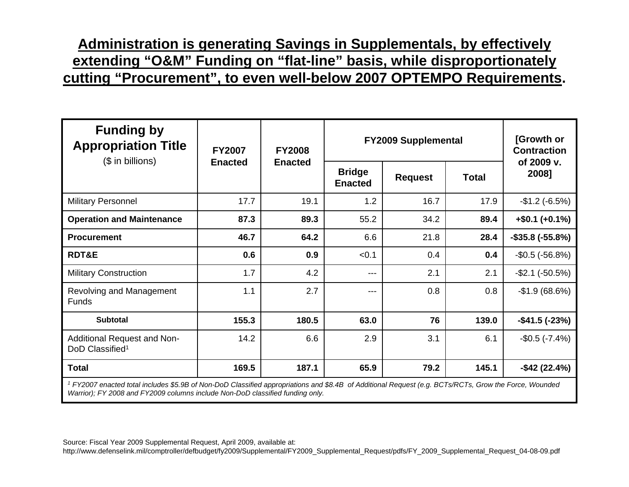### **Administration is generating Savings in Supplementals, by effectively extending "O&M" Funding on "flat-line" basis, while disproportionately cutting "Procurement", to even well-below 2007 OPTEMPO Requirements.**

| <b>FY2007</b> | <b>FY2008</b>  |                                 |                | [Growth or<br><b>Contraction</b> |                                                                                                                                                                                    |
|---------------|----------------|---------------------------------|----------------|----------------------------------|------------------------------------------------------------------------------------------------------------------------------------------------------------------------------------|
|               |                | <b>Bridge</b><br><b>Enacted</b> | <b>Request</b> | <b>Total</b>                     | of 2009 v.<br>2008]                                                                                                                                                                |
| 17.7          | 19.1           | 1.2                             | 16.7           | 17.9                             | $-$1.2(-6.5%)$                                                                                                                                                                     |
| 87.3          | 89.3           | 55.2                            | 34.2           | 89.4                             | $+$ \$0.1 (+0.1%)                                                                                                                                                                  |
| 46.7          | 64.2           | 6.6                             | 21.8           | 28.4                             | $-$ \$35.8 ( $-$ 55.8%)                                                                                                                                                            |
| 0.6           | 0.9            | < 0.1                           | 0.4            | 0.4                              | $-$ \$0.5 ( $-$ 56.8%)                                                                                                                                                             |
| 1.7           | 4.2            | $---$                           | 2.1            | 2.1                              | $-$ \$2.1 ( $-50.5%$ )                                                                                                                                                             |
| 1.1           | 2.7            | $---$                           | 0.8            | 0.8                              | $-$1.9(68.6%)$                                                                                                                                                                     |
| 155.3         | 180.5          | 63.0                            | 76             | 139.0                            | $-$ \$41.5 ( $-$ 23%)                                                                                                                                                              |
| 14.2          | 6.6            | 2.9                             | 3.1            | 6.1                              | $-$0.5 (-7.4%)$                                                                                                                                                                    |
| 169.5         | 187.1          | 65.9                            | 79.2           | 145.1                            | $-$ \$42 (22.4%)                                                                                                                                                                   |
|               | <b>Enacted</b> | <b>Enacted</b>                  |                |                                  | <b>FY2009 Supplemental</b><br>1 FX0007 successful to the limited of CD of New DoD Olava Editor Language time and CO 4D of Additional Democratic mpDT, (DOT, Oman the Fame Messaged |

*1 FY2007 enacted total includes \$5.9B of Non-DoD Classified appropriations and \$8.4B of Additional Request (e.g. BCTs/RCTs, Grow the Force, Wounded Warrior); FY 2008 and FY2009 columns include Non-DoD classified funding only.*

Source: Fiscal Year 2009 Supplemental Request, April 2009, available at: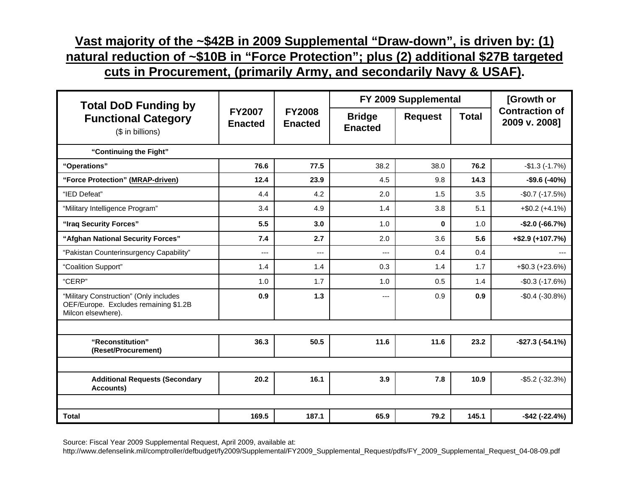## **Vast majority of the ~\$42B in 2009 Supplemental "Draw-down", is driven by: (1) natural reduction of ~\$10B in "Force Protection"; plus (2) additional \$27B targeted**

**cuts in Procurement, (primarily Army, and secondarily Navy & USAF).**

| <b>Total DoD Funding by</b>                                                                           |                                 |                                 |                                 | FY 2009 Supplemental |              |                                        |  |
|-------------------------------------------------------------------------------------------------------|---------------------------------|---------------------------------|---------------------------------|----------------------|--------------|----------------------------------------|--|
| <b>Functional Category</b><br>(\$ in billions)                                                        | <b>FY2007</b><br><b>Enacted</b> | <b>FY2008</b><br><b>Enacted</b> | <b>Bridge</b><br><b>Enacted</b> | <b>Request</b>       | <b>Total</b> | <b>Contraction of</b><br>2009 v. 2008] |  |
| "Continuing the Fight"                                                                                |                                 |                                 |                                 |                      |              |                                        |  |
| "Operations"                                                                                          | 76.6                            | 77.5                            | 38.2                            | 38.0                 | 76.2         | $-$1.3(-1.7%)$                         |  |
| "Force Protection" (MRAP-driven)                                                                      | 12.4                            | 23.9                            | 4.5                             | 9.8                  | 14.3         | $-$ \$9.6 ( $-40\%$ )                  |  |
| "IED Defeat"                                                                                          | 4.4                             | 4.2                             | 2.0                             | 1.5                  | 3.5          | $-$0.7 (-17.5%)$                       |  |
| "Military Intelligence Program"                                                                       | 3.4                             | 4.9                             | 1.4                             | 3.8                  | 5.1          | $+$ \$0.2 (+4.1%)                      |  |
| "Iraq Security Forces"                                                                                | 5.5                             | 3.0                             | 1.0                             | $\mathbf{0}$         | 1.0          | $-$2.0 (-66.7%)$                       |  |
| "Afghan National Security Forces"                                                                     | 7.4                             | 2.7                             | 2.0                             | 3.6                  | 5.6          | $+$ \$2.9 (+107.7%)                    |  |
| "Pakistan Counterinsurgency Capability"                                                               | $---$                           | ---                             | ---                             | 0.4                  | 0.4          | $---$                                  |  |
| "Coalition Support"                                                                                   | 1.4                             | 1.4                             | 0.3                             | 1.4                  | 1.7          | $+$ \$0.3 (+23.6%)                     |  |
| "CERP"                                                                                                | 1.0                             | 1.7                             | 1.0                             | 0.5                  | 1.4          | $-$ \$0.3 ( $-17.6%$ )                 |  |
| "Military Construction" (Only includes<br>OEF/Europe. Excludes remaining \$1.2B<br>Milcon elsewhere). | 0.9                             | $1.3$                           | ---                             | 0.9                  | 0.9          | $-$0.4 (-30.8%)$                       |  |
|                                                                                                       |                                 |                                 |                                 |                      |              |                                        |  |
| "Reconstitution"<br>(Reset/Procurement)                                                               | 36.3                            | 50.5                            | 11.6                            | 11.6                 | 23.2         | $-$ \$27.3 ( $-$ 54.1%)                |  |
|                                                                                                       |                                 |                                 |                                 |                      |              |                                        |  |
| <b>Additional Requests (Secondary</b><br>Accounts)                                                    | 20.2                            | 16.1                            | 3.9                             | 7.8                  | 10.9         | $-$ \$5.2 ( $-32.3%$ )                 |  |
|                                                                                                       |                                 |                                 |                                 |                      |              |                                        |  |
| <b>Total</b>                                                                                          | 169.5                           | 187.1                           | 65.9                            | 79.2                 | 145.1        | $-$ \$42 ( $-22.4%$ )                  |  |

Source: Fiscal Year 2009 Supplemental Request, April 2009, available at: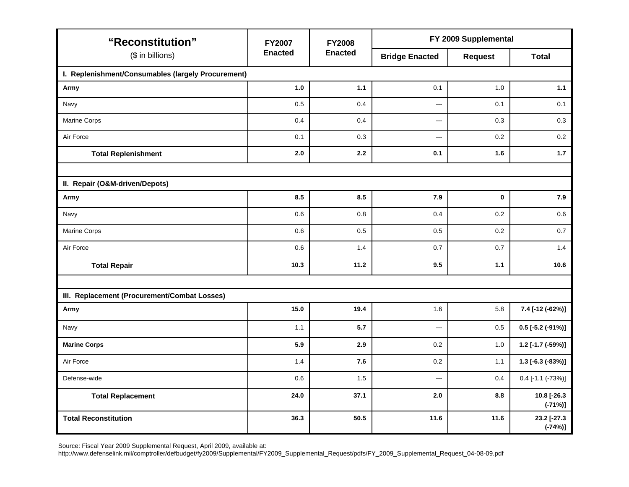| "Reconstitution"                                   | <b>FY2007</b>  | <b>FY2008</b>  | FY 2009 Supplemental     |                |                           |  |  |
|----------------------------------------------------|----------------|----------------|--------------------------|----------------|---------------------------|--|--|
| (\$ in billions)                                   | <b>Enacted</b> | <b>Enacted</b> | <b>Bridge Enacted</b>    | <b>Request</b> | <b>Total</b>              |  |  |
| I. Replenishment/Consumables (largely Procurement) |                |                |                          |                |                           |  |  |
| Army                                               | $1.0$          | 1.1            | 0.1                      | 1.0            | $1.1$                     |  |  |
| Navy                                               | 0.5            | 0.4            | $\overline{a}$           | 0.1            | 0.1                       |  |  |
| Marine Corps                                       | 0.4            | 0.4            | $\overline{a}$           | 0.3            | 0.3                       |  |  |
| Air Force                                          | 0.1            | 0.3            | $\overline{\phantom{a}}$ | 0.2            | 0.2                       |  |  |
| <b>Total Replenishment</b>                         | 2.0            | 2.2            | 0.1                      | 1.6            | 1.7                       |  |  |
|                                                    |                |                |                          |                |                           |  |  |
| II. Repair (O&M-driven/Depots)                     |                |                |                          |                |                           |  |  |
| Army                                               | 8.5            | 8.5            | 7.9                      | $\mathbf 0$    | 7.9                       |  |  |
| Navy                                               | $0.6\,$        | 0.8            | 0.4                      | 0.2            | 0.6                       |  |  |
| Marine Corps                                       | 0.6            | 0.5            | 0.5                      | 0.2            | 0.7                       |  |  |
| Air Force                                          | 0.6            | 1.4            | 0.7                      | 0.7            | 1.4                       |  |  |
| <b>Total Repair</b>                                | 10.3           | 11.2           | 9.5                      | $1.1$          | 10.6                      |  |  |
|                                                    |                |                |                          |                |                           |  |  |
| III. Replacement (Procurement/Combat Losses)       |                |                |                          |                |                           |  |  |
| Army                                               | 15.0           | 19.4           | 1.6                      | 5.8            | 7.4 [-12 (-62%)]          |  |  |
| Navy                                               | 1.1            | 5.7            | ---                      | 0.5            | $0.5$ [-5.2 (-91%)]       |  |  |
| <b>Marine Corps</b>                                | 5.9            | 2.9            | 0.2                      | 1.0            | 1.2 [-1.7 (-59%)]         |  |  |
| Air Force                                          | 1.4            | 7.6            | 0.2                      | 1.1            | 1.3 [-6.3 (-83%)]         |  |  |
| Defense-wide                                       | 0.6            | 1.5            | $---$                    | 0.4            | $0.4$ [-1.1 (-73%)]       |  |  |
| <b>Total Replacement</b>                           | 24.0           | 37.1           | 2.0                      | 8.8            | 10.8 [-26.3<br>$(-71%)$ ] |  |  |
| <b>Total Reconstitution</b>                        | 36.3           | 50.5           | 11.6                     | 11.6           | 23.2 [-27.3<br>$(-74%)$ ] |  |  |

Source: Fiscal Year 2009 Supplemental Request, April 2009, available at: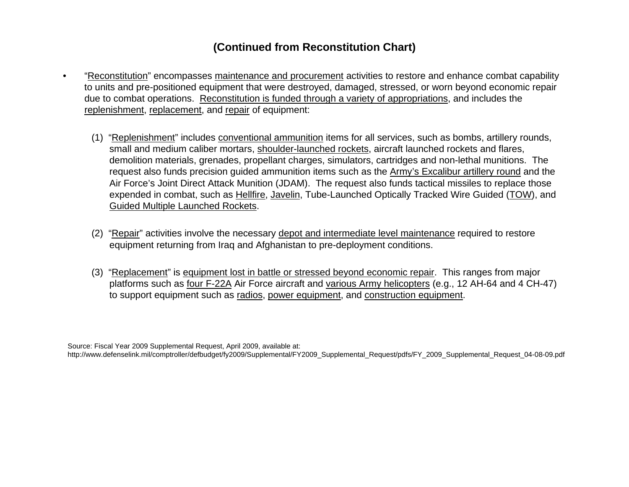#### **(Continued from Reconstitution Chart)**

- "Reconstitution" encompasses maintenance and procurement activities to restore and enhance combat capability to units and pre-positioned equipment that were destroyed, damaged, stressed, or worn beyond economic repair due to combat operations. Reconstitution is funded through a variety of appropriations, and includes the replenishment, replacement, and repair of equipment:
	- (1) "Replenishment" includes conventional ammunition items for all services, such as bombs, artillery rounds, small and medium caliber mortars, shoulder-launched rockets, aircraft launched rockets and flares, demolition materials, grenades, propellant charges, simulators, cartridges and non-lethal munitions. The request also funds precision guided ammunition items such as the Army's Excalibur artillery round and the Air Force's Joint Direct Attack Munition (JDAM). The request also funds tactical missiles to replace those expended in combat, such as Hellfire, Javelin, Tube-Launched Optically Tracked Wire Guided (TOW), and Guided Multiple Launched Rockets.
	- (2) "Repair" activities involve the necessary depot and intermediate level maintenance required to restore equipment returning from Iraq and Afghanistan to pre-deployment conditions.
	- (3) "Replacement" is equipment lost in battle or stressed beyond economic repair. This ranges from major platforms such as four F-22A Air Force aircraft and various Army helicopters (e.g., 12 AH-64 and 4 CH-47) to support equipment such as radios, power equipment, and construction equipment.

Source: Fiscal Year 2009 Supplemental Request, April 2009, available at: